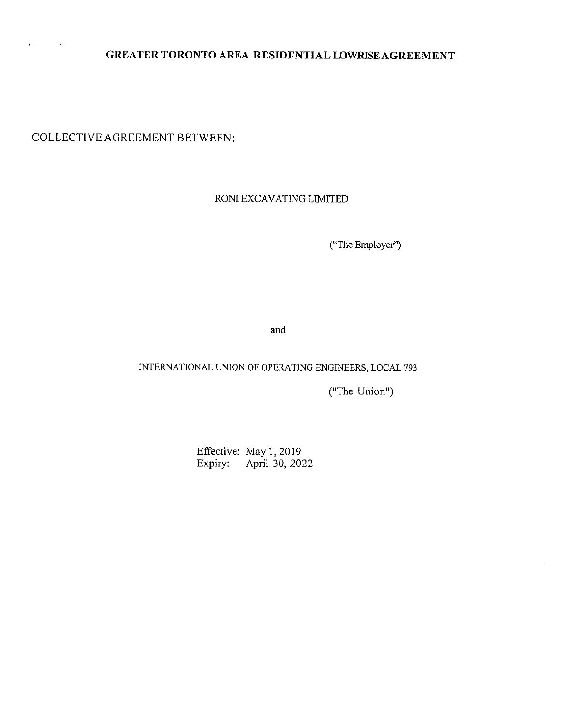# **GREATER TORONTO AREA RESIDENTIALLOWRISEAGREEMENT**

COLLECTIVE AGREEMENT BETWEEN:

ø

 $\epsilon$ 

RONI EXCAVATING LIMITED

("The Employer")

and

# INTERNATIONAL UNION OF OPERA TING ENGINEERS, LOCAL 793

(''The Union")

Effective: May 1, 2019 Expiry: April 30, 2022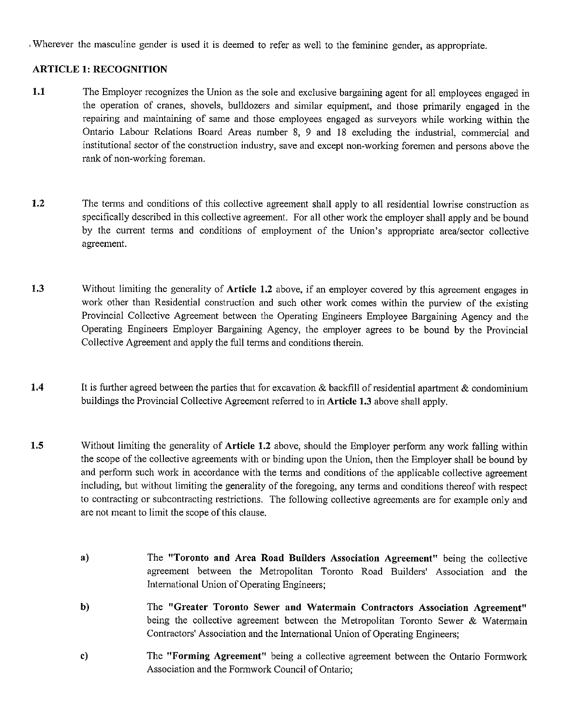Wherever the masculine gender is used it is deemed to refer as well to the feminine gender, as appropriate.

### **ARTICLE 1: RECOGNITION**

- **1.1** The Employer recognizes the Union as the sole and exclusive bargaining agent for all employees engaged in the operation of cranes, shovels, bulldozers and similar equipment, and those primarily engaged in the repairing and maintaining of same and those employees engaged as surveyors while working within the Ontario Labour Relations Board Areas number 8, 9 and 18 excluding the industrial, commercial and institutional sector of the construction industry, save and except non-working foremen and persons above the rank of non-working foreman.
- **1.2** The terms and conditions of this collective agreement shall apply to all residential lowrise construction as specifically described in this collective agreement. For all other work the employer shall apply and be bound by the current terms and conditions of employment of the Union's appropriate area/sector collective agreement.
- **1.3** Without limiting the generality of **Article 1.2** above, if an employer covered by this agreement engages in work other than Residential construction and such other work comes within the purview of the existing Provincial Collective Agreement between the Operating Engineers Employee Bargaining Agency and the Operating Engineers Employer Bargaining Agency, the employer agrees to be bound by the Provincial Collective Agreement and apply the full terms and conditions therein.
- **1.4** It is further agreed between the parties that for excavation & backfill of residential apartment & condominium buildings the Provincial Collective Agreement referred to in **Article 1.3** above shall apply.
- **1.5** Without limiting the generality of **Article 1.2** above, should the Employer perform any work falling within the scope of the collective agreements with or binding upon the Union, then the Employer shall be bound by and perform such work in accordance with the terms and conditions of the applicable collective agreement including, but without limiting the generality of the foregoing, any terms and conditions thereof with respect to contracting or subcontracting restrictions. The following collective agreements are for example only and are not meant to limit the scope of this clause.
	- **a)**  The **"Toronto and Area Road Builders Association Agreement"** being the collective agreement between the Metropolitan Toronto Road Builders' Association and the International Union of Operating Engineers;
	- **b)**  The **"Greater Toronto Sewer and Watermain Contractors Association Agreement"**  being the collective agreement between the Metropolitan Toronto Sewer & Watermain Contractors' Association and the International Union of Operating Engineers;
	- **c)**  The **"Forming Agreement"** being a collective agreement between the Ontario Formwork Association and the Formwork Council of Ontario;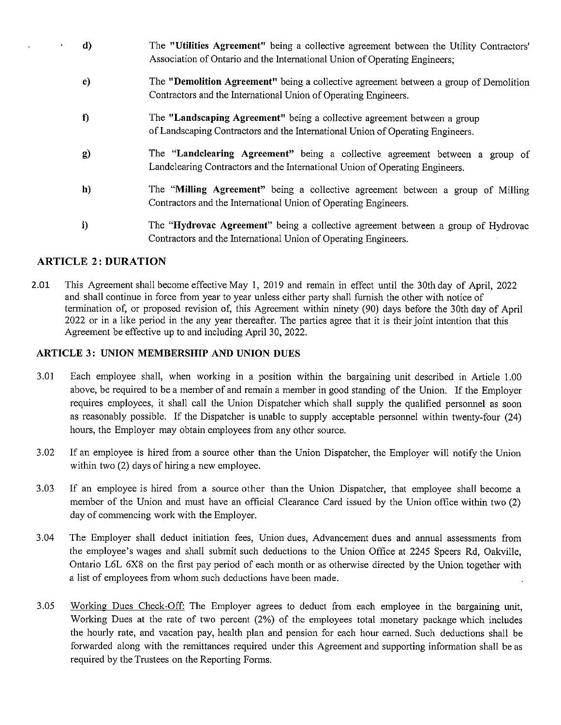- **d)**  The **"Utilities Agreement"** being a collective agreement between the Utility Contractors' Association of Ontario and the International Union of Operating Engineers;
- **e)**  The **"Demolition Agreement"** being a collective agreement between a group of Demolition Contractors and the International Union of Operating Engineers.
- **f)**  The **"Landscaping Agreement"** being a collective agreement between a group of Landscaping Contractors and the International Union of Operating Engineers.
- g) The **"Landclearing Agreement"** being a collective agreement between a group of Landclearing Contractors and the International Union of Operating Engineers.
- **h)**  The **"Milling Agreement"** being a collective agreement between a group of Milling Contractors and the International Union of Operating Engineers.
- **i)**  The **"Hydrovac Agreement"** being a collective agreement between a group of Hydrovac Contractors and the International Union of Operating Engineers.

# **ARTICLE 2: DURATION**

2.01 This Agreement shall become effective May I, 2019 and remain in effect until the 30th day of April, 2022 and shall continue in force from year to year unless either party shall furnish the other with notice of termination of, or proposed revision of, this Agreement within ninety (90) days before the 30th day of April 2022 or in a like period in the any year thereafter. The parties agree that it is their joint intention that this Agreement be effective up to and including April 30, 2022.

# **ARTICLE 3: UNION MEMBERSHIP AND UNION DUES**

- 3.01 Each employee shall, when working in a position within the bargaining unit described in Article 1.00 above, be required to be a member of and remain a member in good standing of the Union. If the Employer requires employees, it shall call the Union Dispatcher which shall supply the qualified personnel as soon as reasonably possible. If the Dispatcher is unable to supply acceptable personnel within twenty-four (24) hours, the Employer may obtain employees from any other source.
- 3.02 If an employee is hired from a source other than the Union Dispatcher, the Employer will notify the Union within two (2) days of hiring a new employee.
- 3.03 If an employee is hired from a source other than the Union Dispatcher, that employee shall become a member of the Union and must have an official Clearance Card issued by the Union office within two (2) day of commencing work with the Employer.
- 3.04 The Employer shall deduct initiation fees, Union dues, Advancement dues and annual assessments from the employee's wages and shall submit such deductions to the Union Office at 2245 Speers Rd, Oakville, Ontario L6L 6X8 on the first pay period of each month or as otherwise directed by the Union together with a list of employees from whom such deductions have been made.
- 3.05 Working Dues Check-Off: The Employer agrees to deduct from each employee in the bargaining unit, Working Dues at the rate of two percent (2%) of the employees total monetary package which includes the hourly rate, and vacation pay, health plan and pension for each hour earned. Such deductions shall be forwarded along with the remittances required under this Agreement and supporting information shall be as required by the Trustees on the Reporting Forms.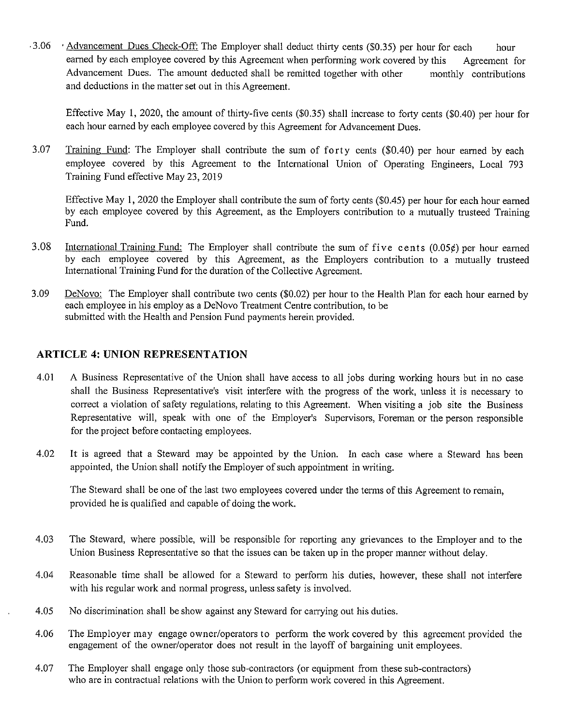• 3.06 • Advancement Dues Check-Off: The Employer shall deduct thirty cents (\$0.35) per hour for each hour earned by each employee covered by this Agreement when performing work covered by this Agreement for Advancement Dues. The amount deducted shall be remitted together with other monthly contributions and deductions in the matter set out in this Agreement.

Effective May 1, 2020, the amount of thirty-five cents (\$0.35) shall increase to forty cents (\$0.40) per hour for each hour earned by each employee covered by this Agreement for Advancement Dues.

3.07 Training Fund: The Employer shall contribute the sum of forty cents (\$0.40) per hour earned by each employee covered by this Agreement to the International Union of Operating Engineers, Local 793 Training Fund effective May 23, 2019

Effective May I, 2020 the Employer shall contribute the sum of forty cents (\$0.45) per hour for each hour earned by each employee covered by this Agreement, as the Employers contribution to a mutually trusteed Training Fund.

- 3.08 International Training Fund: The Employer shall contribute the sum of five cents (0.05¢) per hour earned by each employee covered by this Agreement, as the Employers contribution to a mutually trusteed International Training Fund for the duration of the Collective Agreement.
- 3.09 DeNovo: The Employer shall contribute two cents (\$0.02) per hour to the Health Plan for each hour earned by each employee in his employ as a DeNovo Treatment Centre contribution, to be submitted with the Health and Pension Fund payments herein provided.

# **ARTICLE 4: UNION REPRESENTATION**

- 4.01 A Business Representative of the Union shall have access to all jobs during working hours but in no case shall the Business Representative's visit interfere with the progress of the work, unless it is necessary to correct a violation of safety regulations, relating to this Agreement. When visiting a job site the Business Representative will, speak with one of the Employer's Supervisors, Foreman or the person responsible for the project before contacting employees.
- 4.02 It is agreed that a Steward may be appointed by the Union. In each case where a Steward has been appointed, the Union shall notify the Employer of such appointment in writing.

The Steward shall be one of the last two employees covered under the terms of this Agreement to remain, provided he is qualified and capable of doing the work.

- 4.03 The Steward, where possible, will be responsible for reporting any grievances to the Employer and to the Union Business Representative so that the issues can be taken up in the proper manner without delay.
- 4.04 Reasonable time shall be allowed for a Steward to perform his duties, however, these shall not interfere with his regular work and normal progress, unless safety is involved.
- 4.05 No discrimination shall be show against any Steward for carrying out his duties.
- 4.06 The Employer may engage owner/operators to perform the work covered by this agreement provided the engagement of the owner/operator does not result in the layoff of bargaining unit employees.
- 4.07 The Employer shall engage only those sub-contractors (or equipment from these sub-contractors) who are in contractual relations with the Union to perform work covered in this Agreement.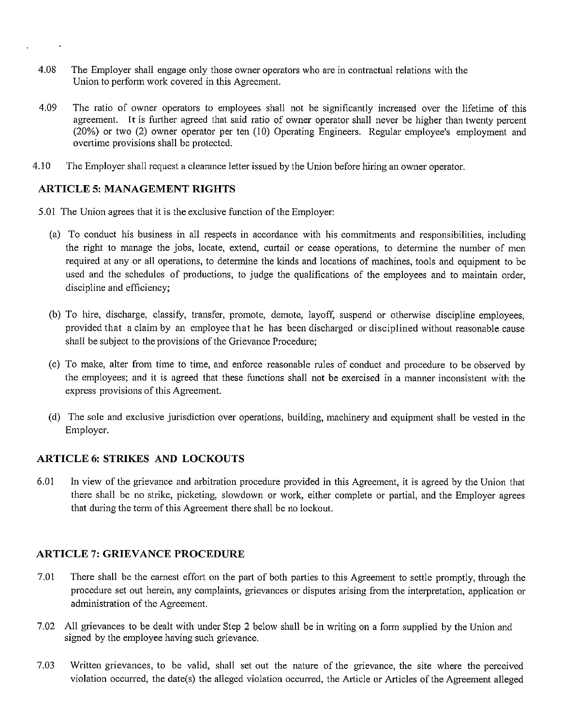- 4.08 The Employer shall engage only those owner operators who are in contractual relations with the Union to perform work covered in this Agreement.
- 4.09 The ratio of owner operators to employees shall not be significantly increased over the lifetime of this agreement. It is further agreed that said ratio of owner operator shall never be higher than twenty percent (20%) or two (2) owner operator per ten (10) Operating Engineers. Regular employee's employment and overtime provisions shall be protected.
- 4.10 The Employer shall request a clearance letter issued by the Union before hiring an owner operator.

#### **ARTICLE 5: MANAGEMENT RIGHTS**

- 5.01 The Union agrees that it is the exclusive function of the Employer:
	- (a) To conduct his business in all respects in accordance with his commitments and responsibilities, including the right to manage the jobs, locate, extend, curtail or cease operations, to detennine the number of men required at any or all operations, to determine the kinds and locations of machines, tools and equipment to be used and the schedules of productions, to judge the qualifications of the employees and to maintain order, discipline and efficiency;
	- (b) To hire, discharge, classify, transfer, promote, demote, layoff, suspend or otherwise discipline employees, provided that a claim by an employee that he has been discharged or disciplined without reasonable cause shall be subject to the provisions of the Grievance Procedure;
	- (c) To make, alter from time to time, and enforce reasonable rules of conduct and procedure to be observed by the employees; and it is agreed that these functions shall not be exercised in a manner inconsistent with the express provisions of this Agreement.
	- ( d) The sole and exclusive jurisdiction over operations, building, machinery and equipment shall be vested in the Employer.

# **ARTICLE 6: STRIKES AND LOCKOUTS**

6.01 In view of the grievance and arbitration procedure provided in this Agreement, it is agreed by the Union that there shall be no strike, picketing, slowdown or work, either complete or partial, and the Employer agrees that during the term of this Agreement there shall be no lockout.

# **ARTICLE 7: GRIEVANCE PROCEDURE**

- 7.01 There shall be the earnest effort on the part of both parties to this Agreement to settle promptly, through the procedure set out herein, any complaints, grievances or disputes arising from the interpretation, application or administration of the Agreement.
- 7.02 All grievances to be dealt with under Step 2 below shall be in writing on a form supplied by the Union and signed by the employee having such grievance.
- 7.03 Written grievances, to be valid, shall set out the nature of the grievance, the site where the perceived violation occurred, the date(s) the alleged violation occurred, the Article or Articles of the Agreement alleged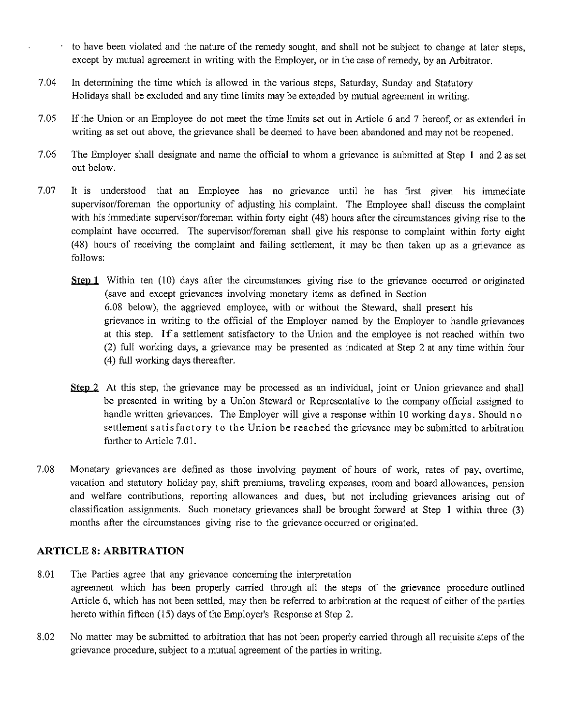- to have been violated and the nature of the remedy sought, and shall not be subject to change at later steps, except by mutual agreement in writing with the Employer, or in the case of remedy, by an Arbitrator.
- 7.04 In determining the time which is allowed in the various steps, Saturday, Sunday and Statutory Holidays shall be excluded and any time limits may be extended by mutual agreement in writing.
- 7.05 If the Union or an Employee do not meet the time limits set out in Article 6 and 7 hereof, or as extended in writing as set out above, the grievance shall be deemed to have been abandoned and may not be reopened.
- 7.06 The Employer shall designate and name the official to whom a grievance is submitted at Step **1** and 2 as set out below.
- 7.07 It is understood that an Employee has no grievance until he has first given his immediate supervisor/foreman the opportunity of adjusting his complaint. The Employee shall discuss the complaint with his immediate supervisor/foreman within forty eight (48) hours after the circumstances giving rise to the complaint have occurred. The supervisor/foreman shall give his response to complaint within forty eight ( 48) hours of receiving the complaint and failing settlement, it may be then taken up as a grievance as follows:
	- **<u>Step 1</u>** Within ten (10) days after the circumstances giving rise to the grievance occurred or originated (save and except grievances involving monetary items as defined in Section 6.08 below), the aggrieved employee, with or without the Steward, shall present his grievance in writing to the official of the Employer named by the Employer to handle grievances at this step. If a settlement satisfactory to the Union and the employee is not reached within two (2) full working days, a grievance may be presented as indicated at Step 2 at any time within four (4) full working days thereafter.
		- **Step 2** At this step, the grievance may be processed as an individual, joint or Union grievance and shall be presented in writing by a Union Steward or Representative to the company official assigned to handle written grievances. The Employer will give a response within 10 working days. Should no settlement satisfactory to the Union be reached the grievance may be submitted to arbitration further to Article 7.01.
- 7.08 Monetary grievances are defined as those involving payment of hours of work, rates of pay, overtime, vacation and statutory holiday pay, shift premiums, traveling expenses, room and board allowances, pension and welfare contributions, reporting allowances and dues, but not including grievances arising out of classification assignments. Such monetary grievances shall be brought forward at Step I within three (3) months after the circumstances giving rise to the grievance occurred or originated.

# **ARTICLE 8: ARBITRATION**

- 8.01 The Parties agree that any grievance concerning the interpretation agreement which has been properly carried through all the steps of the grievance procedure outlined Article 6, which has not been settled, may then be referred to arbitration at the request of either of the parties hereto within fifteen (15) days of the Employer's Response at Step 2.
- 8.02 No matter may be submitted to arbitration that has not been properly carried through all requisite steps of the grievance procedure, subject to a mutual agreement of the parties in writing.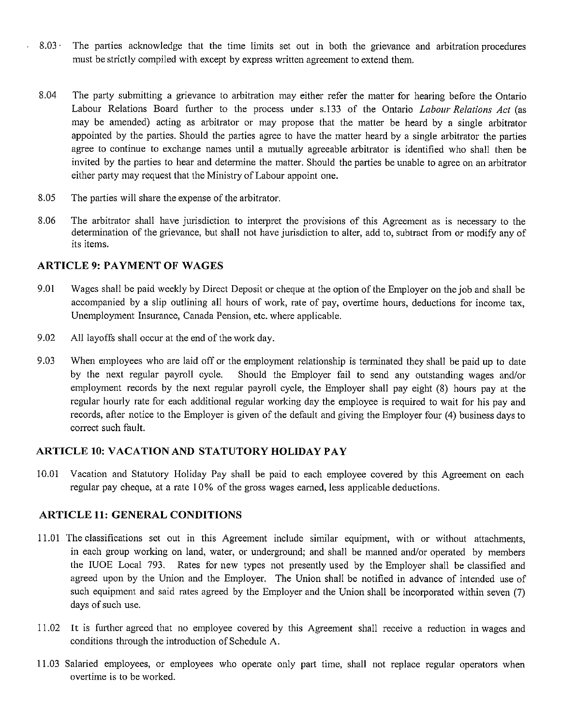- 8.03 · The parties acknowledge that the time limits set out in both the grievance and arbitration procedures must be strictly compiled with except by express written agreement to extend them.
- 8.04 The party submitting a grievance to arbitration may either refer the matter for hearing before the Ontario Labour Relations Board further to the process under s.133 of the Ontario *Labour Relations Act* (as may be amended) acting as arbitrator or may propose that the matter be heard by a single arbitrator appointed by the parties. Should the parties agree to have the matter heard by a single arbitrator the parties agree to continue to exchange names until a mutually agreeable arbitrator is identified who shall then be invited by the parties to hear and determine the matter. Should the parties be unable to agree on an arbitrator either party may request that the Ministry of Labour appoint one.
- 8.05 The parties will share the expense of the arbitrator.
- 8.06 The arbitrator shall have jurisdiction to interpret the provisions of this Agreement as is necessary to the determination of the grievance, but shall not have jurisdiction to alter, add to, subtract from or modify any of its items.

#### **ARTICLE 9: PAYMENT OF WAGES**

 $\ddot{\phantom{0}}$ 

- 9.01 Wages shall be paid weekly by Direct Deposit or cheque at the option of the Employer on the job and shall be accompanied by a slip outlining all hours of work, rate of pay, overtime hours, deductions for income tax, Unemployment Insurance, Canada Pension, etc. where applicable.
- 9.02 All layoffs shall occur at the end of the work day.
- 9.03 When employees who are laid off or the employment relationship is terminated they shall be paid up to date by the next regular payroll cycle. Should the Employer fail to send any outstanding wages and/or employment records by the next regular payroll cycle, the Employer shall pay eight (8) hours pay at the regular hourly rate for each additional regular working day the employee is required to wait for his pay and records, after notice to the Employer is given of the default and giving the Employer four (4) business days to correct such fault.

# **ARTICLE 10: VACATION AND STATUTORY HOLIDAY PAY**

10.01 Vacation and Statutory Holiday Pay shall be paid to each employee covered by this Agreement on each regular pay cheque, at a rate I 0% of the gross wages earned, less applicable deductions.

# **ARTICLE 11: GENERAL CONDITIONS**

- 11.01 The classifications set out in this Agreement include similar equipment, with or without attachments, in each group working on land, water, or underground; and shall be manned and/or operated by members the IUOE Local 793. Rates for new types not presently used by the Employer shall be classified and agreed upon by the Union and the Employer. The Union shall be notified in advance of intended use of such equipment and said rates agreed by the Employer and the Union shall be incorporated within seven (7) days of such use.
- 11.02 It is further agreed that no employee covered by this Agreement shall receive a reduction in wages and conditions through the introduction of Schedule A.
- 11.03 Salaried employees, or employees who operate only part time, shall not replace regular operators when overtime is to be worked.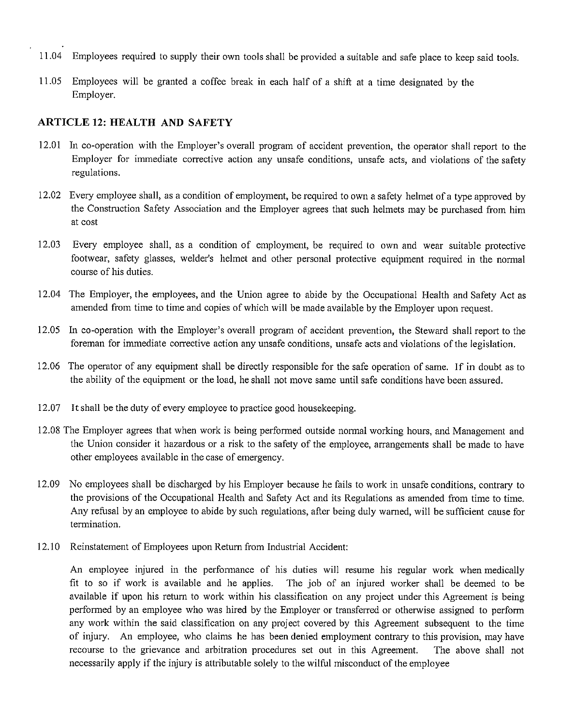- 11.04 Employees required to supply their own tools shall be provided a suitable and safe place to keep said tools.
- I 1.05 Employees will be granted a coffee break in each half of a shift at a time designated by the Employer.

### **ARTICLE 12: HEALTH AND SAFETY**

- 12.01 In co-operation with the Employer's overall program of accident prevention, the operator shall report to the Employer for immediate corrective action any unsafe conditions, unsafe acts, and violations of the safety regulations.
- 12.02 Every employee shall, as a condition of employment, be required to own a safety helmet of a type approved by the Construction Safety Association and the Employer agrees that such helmets may be purchased from him at cost
- 12.03 Every employee shall, as a condition of employment, be required to own and wear suitable protective footwear, safety glasses, welder's helmet and other personal protective equipment required in the normal course of his duties.
- 12.04 The Employer, the employees, and the Union agree to abide by the Occupational Health and Safety Act as amended from time to time and copies of which will be made available by the Employer upon request.
- 12.05 In co-operation with the Employer's overall program of accident prevention, the Steward shall report to the foreman for immediate corrective action any unsafe conditions, unsafe acts and violations of the legislation.
- 12.06 The operator of any equipment shall be directly responsible for the safe operation of same. If in doubt as to the ability of the equipment or the load, he shall not move same until safe conditions have been assured.
- 12.07 It shall be the duty of every employee to practice good housekeeping.
- 12.08 The Employer agrees that when work is being performed outside normal working hours, and Management and the Union consider it hazardous or a risk to the safety of the employee, arrangements shall be made to have other employees available in the case of emergency.
- 12.09 No employees shall be discharged by his Employer because he fails to work in unsafe conditions, contrary to the provisions of the Occupational Health and Safety Act and its Regulations as amended from time to time. Any refusal by an employee to abide by such regulations, after being duly warned, will be sufficient cause for termination.
- 12.10 Reinstatement of Employees upon Return from Industrial Accident:

An employee injured in the performance of his duties will resume his regular work when medically fit to so if work is available and he applies. The job of an injured worker shall be deemed to be available if upon his return to work within his classification on any project under this Agreement is being performed by an employee who was hired by the Employer or transferred or otherwise assigned to perform any work within the said classification on any project covered by this Agreement subsequent to the time of injury. An employee, who claims he has been denied employment contrary to this provision, may have recourse to the grievance and arbitration procedures set out in this Agreement. The above shall not necessarily apply if the injury is attributable solely to the wilful misconduct of the employee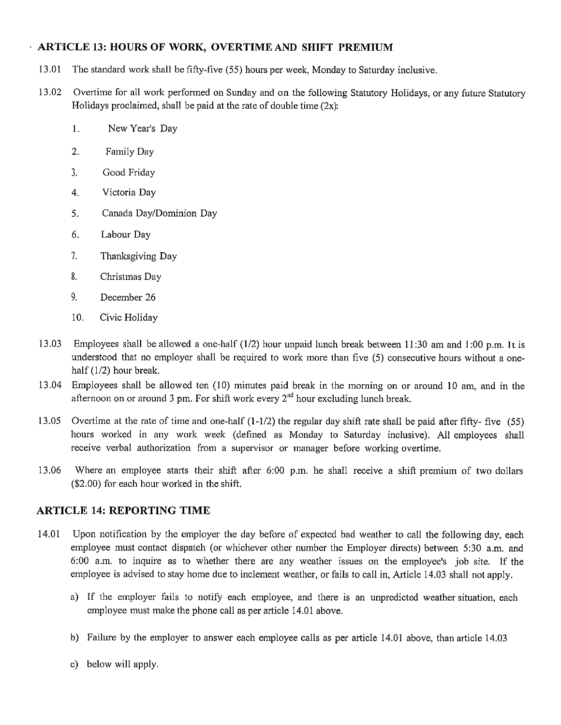# **ARTICLE 13: HOURS OF WORK, OVERTIME AND SHIFT PREMIUM**

- 13.01 The standard work shall be fifty-five (55) hours per week, Monday to Saturday inclusive.
- 13.02 Overtime for all work performed on Sunday and on the following Statutory Holidays, or any future Statutory Holidays proclaimed, shall be paid at the rate of double time  $(2x)$ :
	- I. New Year's Day
	- 2. Family Day
	- 3. Good Friday
	- 4. Victoria Day
	- 5. Canada Day/Dominion Day
	- 6. Labour Day
	- 7. Thanksgiving Day
	- 8. Christmas Day
	- 9. December 26
	- 10. Civic Holiday
- 13.03 Employees shall be allowed a one-half (1/2) hour unpaid lunch break between 11:30 am and 1 :00 p.m. It is understood that no employer shall be required to work more than five (5) consecutive hours without a onehalf (1/2) hour break.
- 13.04 Employees shall be allowed ten (10) minutes paid break in the morning on or around 10 am, and in the afternoon on or around 3 pm. For shift work every  $2^{nd}$  hour excluding lunch break.
- 13.05 Overtime at the rate of time and one-half (1-1/2) the regular day shift rate shall be paid after fifty- five (55) hours worked in any work week (defined as Monday to Saturday inclusive). All employees shall receive verbal authorization from a supervisor or manager before working overtime.
- 13.06 Where an employee starts their shift after 6:00 p.m. he shall receive a shift premium of two dollars (\$2.00) for each hour worked in the shift.

# **ARTICLE 14: REPORTING TIME**

- 14.01 Upon notification by the employer the day before of expected bad weather to call the following day, each employee must contact dispatch (or whichever other number the Employer directs) between 5:30 a.m. and 6:00 a.m. to inquire as to whether there are any weather issues on the employee's job site. If the employee is advised to stay home due to inclement weather, or fails to call in, Article 14.03 shall not apply.
	- a) If the employer fails to notify each employee, and there is an unpredicted weather situation, each employee must make the phone call as per article 14.01 above.
	- b) Failure by the employer to answer each employee calls as per article 14.01 above, than article 14.03
	- c) below will apply.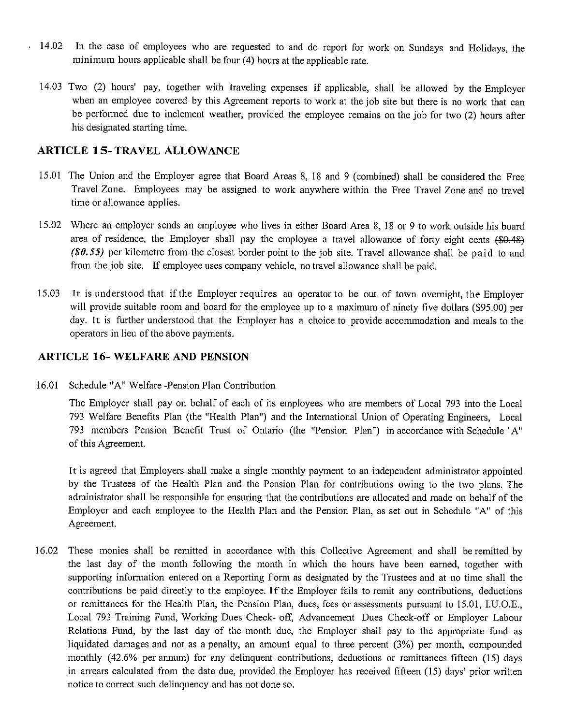- , 14.02 In the case of employees who are requested to and do report for work on Sundays and Holidays, the minimum hours applicable shall be four (4) hours at the applicable rate.
	- 14.03 Two (2) hours' pay, together with traveling expenses if applicable, shall be allowed by the Employer when an employee covered by this Agreement reports to work at the job site but there is no work that can be performed due to inclement weather, provided the employee remains on the job for two (2) hours after his designated starting time.

# **ARTICLE IS-TRAVEL ALLOWANCE**

- 15.01 The Union and the Employer agree that Board Areas 8, 18 and 9 (combined) shall be considered the Free Travel Zone. Employees may be assigned to work anywhere within the Free Travel Zone and no travel time or allowance applies.
- 15.02 Where an employer sends an employee who lives in either Board Area 8, 18 or 9 to work outside his board area of residence, the Employer shall pay the employee a travel allowance of forty eight cents (\$0.48) *(\$0.55)* per kilometre from the closest border point to the job site. Travel allowance shall be paid to and from the job site. If employee uses company vehicle, no travel allowance shall be paid.
- 15.03 It is understood that if the Employer requires an operator to be out of town overnight, the Employer will provide suitable room and board for the employee up to a maximum of ninety five dollars (\$95.00) per day. It is further understood that the Employer has a choice to provide accommodation and meals to the operators in lieu of the above payments.

# **ARTICLE 16-WELFARE AND PENSION**

16.01 Schedule "A" Welfare-Pension Plan Contribution

The Employer shall pay on behalf of each of its employees who are members of Local 793 into the Local 793 Welfare Benefits Plan (the "Health Plan") and the International Union of Operating Engineers, Local 793 members Pension Benefit Trust of Ontario (the "Pension Plan") in accordance with Schedule "A" of this Agreement.

It is agreed that Employers shall make a single monthly payment to an independent administrator appointed by the Trustees of the Health Plan and the Pension Plan for contributions owing to the two plans. The administrator shall be responsible for ensuring that the contributions are allocated and made on behalf of the Employer and each employee to the Health Plan and the Pension Plan, as set out in Schedule "A" of this Agreement.

16.02 These monies shall be remitted in accordance with this Collective Agreement and shall be remitted by the last day of the month following the month in which the hours have been earned, together with supporting information entered on a Reporting Form as designated by the Trustees and at no time shall the contributions be paid directly to the employee. If the Employer fails to remit any contributions, deductions or remittances for the Health Plan, the Pension Plan, dues, fees or assessments pursuant to 15.01, I.U.O.E., Local 793 Training Fund, Working Dues Check- off, Advancement Dues Check-off or Employer Labour Relations Fund, by the last day of the month due, the Employer shall pay to the appropriate fund as liquidated damages and not as a penalty, an amount equal to three percent (3%) per month, compounded monthly (42.6% per annum) for any delinquent contributions, deductions or remittances fifteen (15) days in arrears calculated from the date due, provided the Employer has received fifteen (15) days' prior written notice to correct such delinquency and has not done so.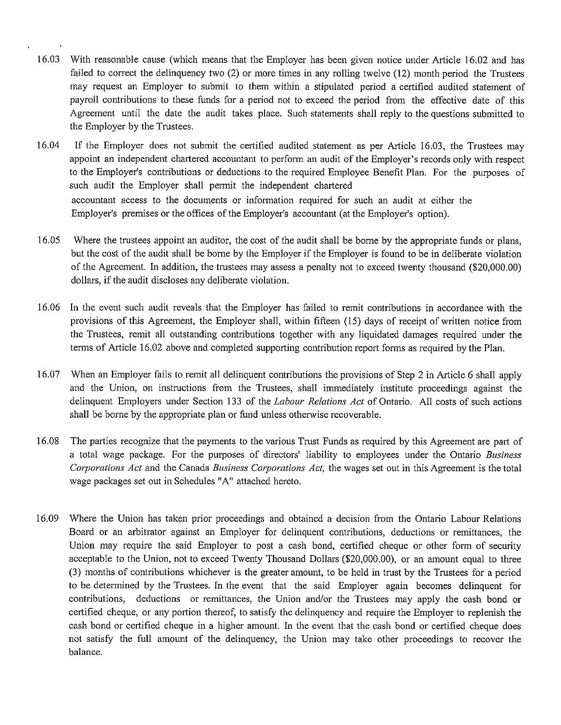- I 6.03 With reasonable cause (which means that the Employer has been given notice under Article 16.02 and has failed to correct the delinquency two (2) or more times in any rolling twelve (12) month period the Trustees may request an Employer to submit to them within a stipulated period a certified audited statement of payroll contributions to these funds for a period not to exceed the period from the effective date of this Agreement until the date the audit takes place. Such statements shall reply to the questions submitted to the Employer by the Trustees.
- 16.04 If the Employer does not submit the certified audited statement as per Article 16.03, the Trustees may appoint an independent chartered accountant to perform an audit of the Employer's records only with respect to the Employer's contributions or deductions to the required Employee Benefit Plan. For the purposes of such audit the Employer shall permit the independent chartered accountant access to the documents or information required for such an audit at either the Employer's premises or the offices of the Employer's accountant (at the Employer's option).
- 16.05 Where the trustees appoint an auditor, the cost of the audit shall be borne by the appropriate funds or plans, but the cost of the audit shall be borne by the Employer if the Employer is found to be in deliberate violation of the Agreement. In addition, the trustees may assess a penalty not to exceed twenty thousand (\$20,000.00) dollars, if the audit discloses any deliberate violation.
- I 6.06 In the event such audit reveals that the Employer has failed to remit contributions in accordance with the provisions of this Agreement, the Employer shall, within fifteen (15) days of receipt of written notice from the Trustees, remit all outstanding contributions together with any liquidated damages required under the tenns of Article 16.02 above and completed supporting contribution report forms as required by the Plan.
- 16.07 When an Employer fails to remit all delinquent contributions the provisions of Step 2 in Article 6 shall apply and the Union, on instructions from the Trustees, shall immediately institute proceedings against the delinquent Employers under Section 133 of the *Labour Relations Act* of Ontario. All costs of such actions shall be borne by the appropriate plan or fund unless otherwise recoverable.
- 16.08 The parties recognize that the payments to the various Trust Funds as required by this Agreement are part of a total wage package. For the purposes of directors' liability to employees under the Ontario *Business Corporations Act* and the Canada *Business Corporations Act,* the wages set out in this Agreement is the total wage packages set out in Schedules "A" attached hereto.
- 16.09 Where the Union has taken prior proceedings and obtained a decision from the Ontario Labour Relations Board or an arbitrator against an Employer for delinquent contributions, deductions or remittances, the Union may require the said Employer to post a cash bond, certified cheque or other form of security acceptable to the Union, not to exceed Twenty Thousand Dollars (\$20,000.00), or an amount equal to three (3) months of contributions whichever is the greater amount, to be held in trust by the Trustees for a period to be detennined by the Trustees. In the event that the said Employer again becomes delinquent for contributions, deductions or remittances, the Union and/or the Trustees may apply the cash bond or certified cheque, or any portion thereof, to satisfy the delinquency and require the Employer to replenish the cash bond or certified cheque in a higher amount. In the event that the cash bond or certified cheque does not satisfy the full amount of the delinquency, the Union may take other proceedings to recover the balance.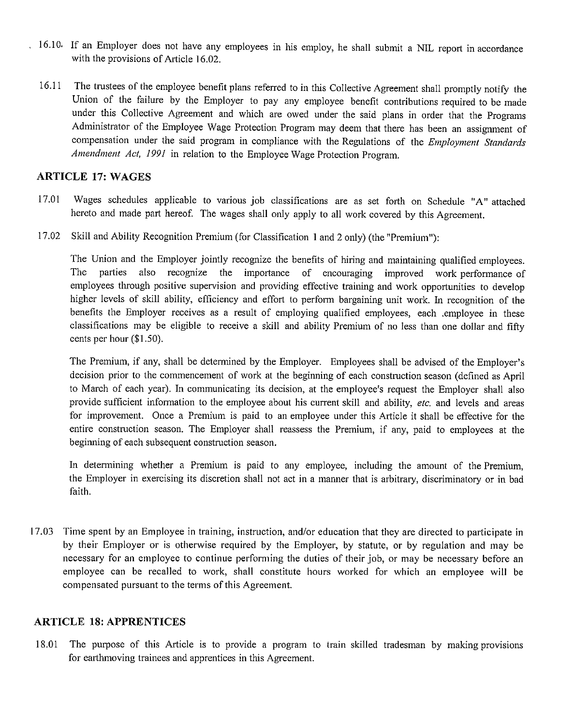- , 16.10, If an Employer does not have any employees in his employ, he shall submit a NIL report in accordance with the provisions of Article 16.02,
	- 16.11 The trustees of the employee benefit plans referred to in this Collective Agreement shall promptly notify the Union of the failure by the Employer to pay any employee benefit contributions required to be made under this Collective Agreement and which are owed under the said plans in order that the Programs Administrator of the Employee Wage Protection Program may deem that there has been an assignment of compensation under the said program in compliance with the Regulations of the *Employment Standards Amendment Act, 1991* in relation to the Employee Wage Protection Program,

# **ARTICLE 17: WAGES**

- 17.01 Wages schedules applicable to various job classifications are as set forth on Schedule **"A"** attached hereto and made part hereof. The wages shall only apply to all work covered by this Agreement.
- 17.02 Skill and Ability Recognition Premium (for Classification I and 2 only) (the "Premium"):

The Union and the Employer jointly recognize the benefits of hiring and maintaining qualified employees, The parties also recognize the importance of encouraging improved work performance of employees through positive supervision and providing effective training and work opportunities to develop higher levels of skill ability, efficiency and effort to perform bargaining unit work, In recognition of the benefits the Employer receives as a result of employing qualified employees, each ,employee in these classifications may be eligible to receive a skill and ability Premium of no less than one dollar and fifty cents per hour (\$1,50),

The Premium, if any, shall be determined by the Employer. Employees shall be advised of the Employer's decision prior to the commencement of work at the beginning of each construction season ( defined as April to March of each year), In connnunicating its decision, at the employee's request the Employer shall also provide sufficient information to the employee about his current skill and ability, *etc,* and levels and areas for improvement. Once a Premium is paid to an employee under this Article it shall be effective for the entire construction season, The Employer shall reassess the Premium, if any, paid to employees at the beginning of each subsequent construction season.

In determining whether a Premium is paid to any employee, including the amount of the Premium, the Employer in exercising its discretion shall not act in a manner that is arbitrary, discriminatory or in bad faith.

l 7.03 Time spent by an Employee in training, instruction, and/or education that they are directed to participate in by their Employer or is otherwise required by the Employer, by statute, or by regulation and may be necessary for an employee to continue performing the duties of their job, or may be necessary before an employee can be recalled to work, shall constitute hours worked for which an employee will be compensated pursuant to the terms of this Agreement.

#### **ARTICLE 18: APPRENTICES**

18.01 The purpose of this Article 1s to provide a program to train skilled tradesman by making provisions for earthmoving trainees and apprentices in this Agreement.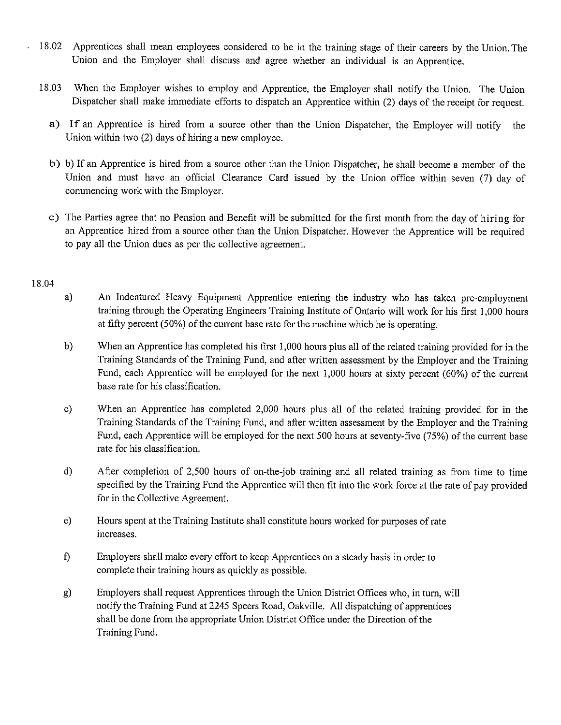- I 8.02 Apprentices shall mean employees considered to be in the training stage of their careers by the Union. The Union and the Employer shall discuss and agree whether an individual is an Apprentice.
- 18.03 When the Employer wishes to employ and Apprentice, the Employer shall notify the Union. The Union Dispatcher shall make immediate efforts to dispatch an Apprentice within (2) days of the receipt for request.
	- a) If an Apprentice is hired from a source other than the Union Dispatcher, the Employer will notify the Union within two  $(2)$  days of hiring a new employee.
	- b) b) If an Apprentice is hired from a source other than the Union Dispatcher, he shall become a member of the Union and must have an official Clearance Card issued by the Union office within seven (7) day of commencing work with the Employer.
	- c) The Parties agree that no Pension and Benefit will be submitted for the first month from the day of hiring for an Apprentice hired from a source other than the Union Dispatcher. However the Apprentice will be required to pay all the Union dues as per the collective agreement.

#### 18.04

- a) An Indentured Heavy Equipment Apprentice entering the industry who has taken pre-employment training through the Operating Engineers Training Institute of Ontario will work for his first 1,000 hours at fifty percent (50%) of the current base rate for the machine which he is operating.
- b) When an Apprentice has completed his first 1,000 hours plus all of the related training provided for in the Training Standards of the Training Fund, and after written assessment by the Employer and the Training Fund, each Apprentice will be employed for the next 1,000 hours at sixty percent (60%) of the current base rate for his classification.
- c) When an Apprentice has completed 2,000 hours plus all of the related training provided for in the Training Standards of the Training Fund, and after written assessment by the Employer and the Training Fund, each Apprentice will be employed for the next 500 hours at seventy-five (75%) of the current base rate for his classification.
- d) After completion of 2,500 hours of on-the-job training and all related training as from time to time specified by the Training Fund the Apprentice will then fit into the work force at the rate of pay provided for in the Collective Agreement.
- e) Hours spent at the Training Institute shall constitute hours worked for purposes of rate mcreases.
- t) Employers shall make every effort to keep Apprentices on a steady basis in order to complete their training hours as quickly as possible.
- g) Employers shall request Apprentices through the Union District Offices who, in turn, will notify the Training Fund at 2245 Speers Road, Oakville. All dispatching of apprentices shall be done from the appropriate Union District Office under the Direction of the Training Fund.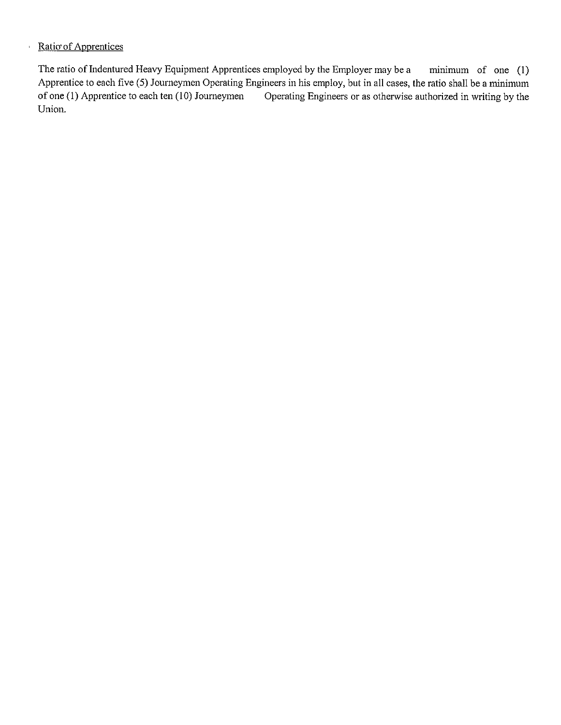# ↑ Ratio of Apprentices

The ratio of Indentured Heavy Equipment Apprentices employed by the Employer may be a minimum of one (1) Apprentice to each five (5) Journeymen Operating Engineers in his employ, but in all cases, the ratio shall be a minimum of one (1) Apprentice to each ten (10) Journeymen Operating Engineers or as otherwise authorized in writing by the Union.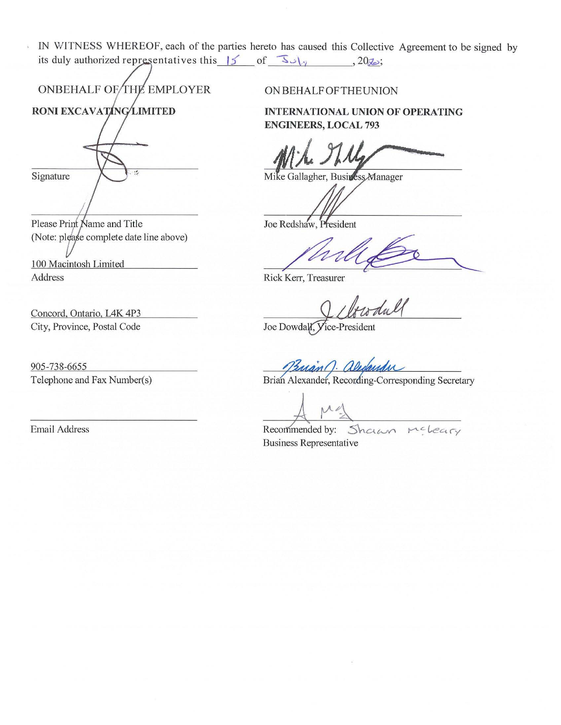IN WITNESS WHEREOF, each of the parties hereto has caused this Collective Agreement to be signed by its duly authorized representatives this  $\vert 5 \rangle$ of  $\overline{S}J_{\gamma}$ ,  $20\overline{\chi}$ ;

ONBEHALF OF THE EMPLOYER

RONI EXCAVATING LIMITED Signature

Please Print Name and Title (Note: please complete date line above)

Address

 $\delta$ 

Concord, Ontario, L4K 4P3 City, Province, Postal Code

905-738-6655 Telephone and Fax Number(s)

Email Address

ONBEHALFOFTHEUNION

**INTERNATIONAL UNION OF OPERATING ENGINEERS, LOCAL 793** 

(Note: please complete date line above)<br>100 Macintosh Limited<br>Address Redshaw, President

Rick Kerr, Treasurer

Joe Dowdall, Vice-President

Brian Alexander, Recording-Corresponding Secretary

Recommended by: Shawn McLeary Business Representative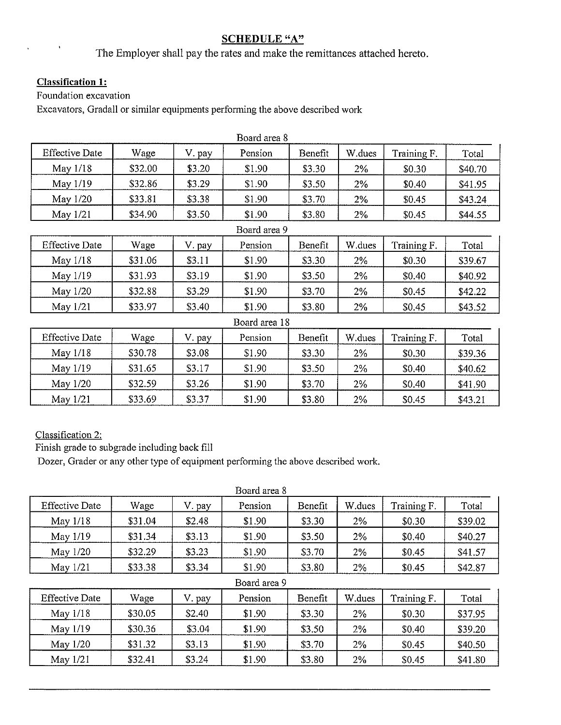# **SCHEDULE "A"**

The Employer shall pay the rates and make the remittances attached hereto.

# **Classification 1:**

 $\ddot{\phantom{a}}$ 

Foundation excavation

Excavators, Gradall or similar equipments performing the above described work

|                       |         |        | Board area 8  |         |        |             |         |
|-----------------------|---------|--------|---------------|---------|--------|-------------|---------|
| <b>Effective Date</b> | Wage    | V. pay | Pension       | Benefit | W.dues | Training F. | Total   |
| May 1/18              | \$32.00 | \$3.20 | \$1.90        | \$3.30  | 2%     | \$0.30      | \$40.70 |
| May 1/19              | \$32.86 | \$3.29 | \$1.90        | \$3.50  | 2%     | \$0.40      | \$41.95 |
| May 1/20              | \$33.81 | \$3.38 | \$1.90        | \$3.70  | $2\%$  | \$0.45      | \$43.24 |
| May 1/21              | \$34.90 | \$3.50 | \$1.90        | \$3.80  | 2%     | \$0.45      | \$44.55 |
|                       |         |        | Board area 9  |         |        |             |         |
| <b>Effective Date</b> | Wage    | V. pay | Pension       | Benefit | W.dues | Training F. | Total   |
| May 1/18              | \$31.06 | \$3.11 | \$1.90        | \$3.30  | 2%     | \$0.30      | \$39.67 |
| May 1/19              | \$31.93 | \$3.19 | \$1.90        | \$3.50  | $2\%$  | \$0.40      | \$40.92 |
| May 1/20              | \$32.88 | \$3.29 | \$1.90        | \$3.70  | $2\%$  | \$0.45      | \$42.22 |
| May 1/21              | \$33.97 | \$3.40 | \$1.90        | \$3.80  | 2%     | \$0.45      | \$43.52 |
|                       |         |        | Board area 18 |         |        |             |         |
| <b>Effective Date</b> | Wage    | V. pay | Pension       | Benefit | W dues | Training F. | Total   |
| May 1/18              | \$30.78 | \$3.08 | \$1.90        | \$3.30  | 2%     | \$0.30      | \$39.36 |
| May 1/19              | \$31.65 | \$3.17 | \$1.90        | \$3.50  | 2%     | \$0.40      | \$40.62 |
| May 1/20              | \$32.59 | \$3.26 | \$1.90        | \$3.70  | 2%     | \$0.40      | \$41.90 |
| May 1/21              | \$33.69 | \$3.37 | \$1.90        | \$3.80  | 2%     | \$0.45      | \$43.21 |

Classification 2:

Finish grade to subgrade including back fill

Dozer, Grader or any other type of equipment performing the above described work.

| Board area 8          |         |        |              |         |        |             |         |
|-----------------------|---------|--------|--------------|---------|--------|-------------|---------|
| <b>Effective Date</b> | Wage    | V. pay | Pension      | Benefit | W.dues | Training F. | Total   |
| May 1/18              | \$31.04 | \$2.48 | \$1.90       | \$3.30  | 2%     | \$0.30      | \$39.02 |
| May 1/19              | \$31.34 | \$3.13 | \$1.90       | \$3.50  | $2\%$  | \$0.40      | \$40.27 |
| May 1/20              | \$32.29 | \$3.23 | \$1.90       | \$3.70  | 2%     | \$0.45      | \$41.57 |
| May 1/21              | \$33.38 | \$3.34 | \$1.90       | \$3.80  | 2%     | \$0.45      | \$42.87 |
|                       |         |        | Board area 9 |         |        |             |         |
| <b>Effective Date</b> | Wage    | V. pay | Pension      | Benefit | W.dues | Training F. | Total   |
| May $1/18$            | \$30.05 | \$2.40 | \$1.90       | \$3.30  | 2%     | \$0.30      | \$37.95 |
| May 1/19              | \$30.36 | \$3.04 | \$1.90       | \$3.50  | 2%     | \$0.40      | \$39.20 |
| May 1/20              | \$31.32 | \$3.13 | \$1.90       | \$3.70  | 2%     | \$0.45      | \$40.50 |
| May 1/21              | \$32.41 | \$3.24 | \$1.90       | \$3.80  | 2%     | \$0.45      | \$41.80 |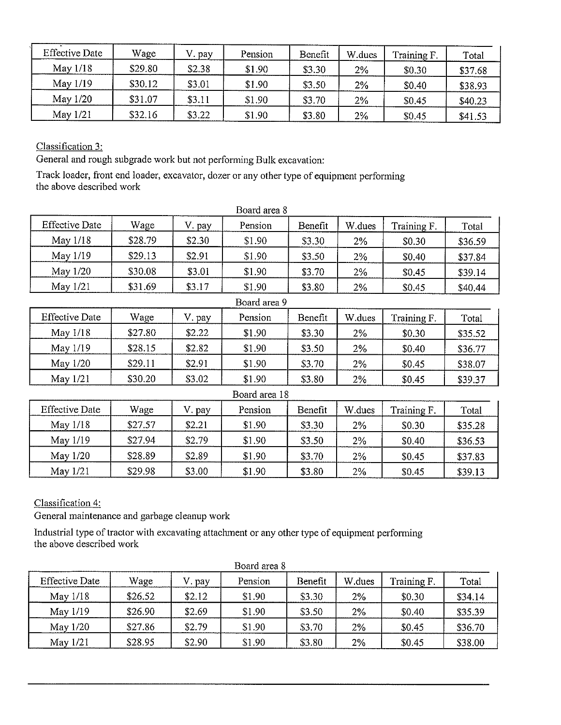| <b>Effective Date</b> | Wage    | pay    | Pension | Benefit | W.dues       | Training F. | Total   |
|-----------------------|---------|--------|---------|---------|--------------|-------------|---------|
| May $1/18$            | \$29.80 | \$2.38 | \$1.90  | \$3.30  | 2%           | \$0.30      | \$37.68 |
| May 1/19              | \$30.12 | \$3.01 | \$1.90  | \$3.50  | 2%           | \$0.40      | \$38.93 |
| May $1/20$            | \$31.07 | \$3.11 | \$1.90  | \$3.70  | 2%<br>\$0.45 |             | \$40.23 |
| May 1/21              | \$32.16 | \$3.22 | \$1.90  | \$3.80  | 2%           | \$0.45      | \$41.53 |

Classification 3:

General and rough subgrade work but not performing Bulk excavation:

Track loader, front end loader, excavator, dozer or any other type of equipment performing the above described work

|                       |         |        | Board area 8  |         |        |             |         |
|-----------------------|---------|--------|---------------|---------|--------|-------------|---------|
| <b>Effective Date</b> | Wage    | V. pay | Pension       | Benefit | W.dues | Training F. | Total   |
| May 1/18              | \$28.79 | \$2.30 | \$1.90        | \$3.30  | 2%     | \$0.30      | \$36.59 |
| May 1/19              | \$29.13 | \$2.91 | \$1.90        | \$3.50  | 2%     | \$0.40      | \$37.84 |
| May 1/20              | \$30.08 | \$3.01 | \$1.90        | \$3.70  | 2%     | \$0.45      | \$39.14 |
| May 1/21              | \$31.69 | \$3.17 | \$1.90        | \$3.80  | 2%     | \$0.45      | \$40.44 |
|                       |         |        | Board area 9  |         |        |             |         |
| <b>Effective Date</b> | Wage    | V. pay | Pension       | Benefit | W.dues | Training F. | Total   |
| May 1/18              | \$27.80 | \$2.22 | \$1.90        | \$3.30  | $2\%$  | \$0.30      | \$35.52 |
| May 1/19              | \$28.15 | \$2.82 | \$1.90        | \$3.50  | 2%     | \$0.40      | \$36.77 |
| May 1/20              | \$29.11 | \$2.91 | \$1.90        | \$3.70  | 2%     | \$0.45      | \$38.07 |
| May 1/21              | \$30.20 | \$3.02 | \$1.90        | \$3.80  | 2%     | \$0.45      | \$39.37 |
|                       |         |        | Board area 18 |         |        |             |         |
| <b>Effective Date</b> | Wage    | V. pay | Pension       | Benefit | W.dues | Training F. | Total   |
| May $1/18$            | \$27.57 | \$2.21 | \$1.90        | \$3.30  | 2%     | \$0.30      | \$35.28 |
| May 1/19              | \$27.94 | \$2.79 | \$1.90        | \$3.50  | 2%     | \$0.40      | \$36.53 |
| May 1/20              | \$28.89 | \$2.89 | \$1.90        | \$3.70  | $2\%$  | \$0.45      | \$37.83 |
| May 1/21              | \$29.98 | \$3.00 | \$1.90        | \$3.80  | 2%     | \$0.45      | \$39.13 |

Classification 4:

General maintenance and garbage cleanup work

Industrial type of tractor with excavating attachment or any other type of equipment performing the above described work

| <b>Effective Date</b> | Wage    | V. pay | Pension | Benefit | W dues | Training F. | Total   |
|-----------------------|---------|--------|---------|---------|--------|-------------|---------|
| May $1/18$            | \$26.52 | \$2.12 | \$1.90  | \$3.30  | 2%     | \$0.30      | \$34.14 |
| May 1/19              | \$26.90 | \$2.69 | \$1.90  | \$3.50  | 2%     | \$0.40      | \$35.39 |
| May 1/20              | \$27.86 | \$2.79 | \$1.90  | \$3.70  | 2%     | \$0.45      | \$36.70 |
| May $1/21$            | \$28.95 | \$2.90 | \$1.90  | \$3.80  | 2%     | \$0.45      | \$38.00 |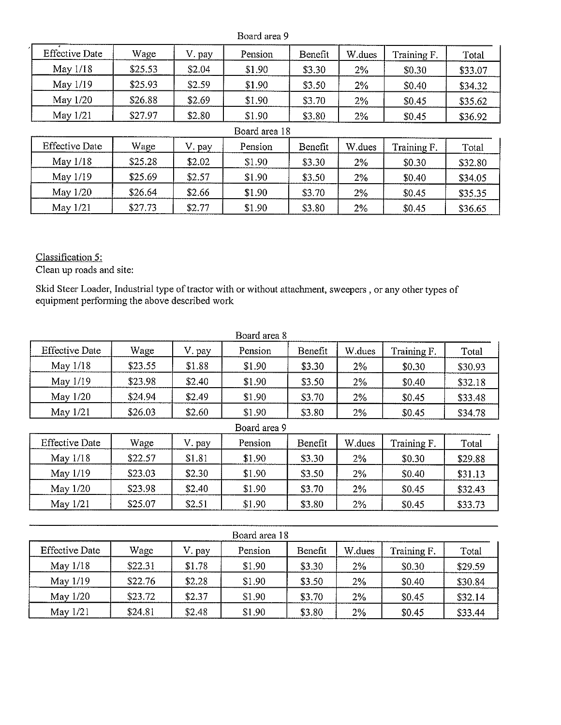|                       | Board area 9 |        |               |         |        |             |         |  |  |
|-----------------------|--------------|--------|---------------|---------|--------|-------------|---------|--|--|
| <b>Effective Date</b> | Wage         | V. pay | Pension       | Benefit | W.dues | Training F. | Total   |  |  |
| May 1/18              | \$25.53      | \$2.04 | \$1.90        | \$3.30  | 2%     | \$0.30      | \$33.07 |  |  |
| May 1/19              | \$25.93      | \$2.59 | \$1.90        | \$3.50  | 2%     | \$0.40      | \$34.32 |  |  |
| May 1/20              | \$26.88      | \$2.69 | \$1.90        | \$3.70  | 2%     | \$0.45      | \$35.62 |  |  |
| May 1/21              | \$27.97      | \$2.80 | \$1.90        | \$3.80  | 2%     | \$0.45      | \$36.92 |  |  |
|                       |              |        | Board area 18 |         |        |             |         |  |  |
| <b>Effective Date</b> | Wage         | V. pay | Pension       | Benefit | W.dues | Training F. | Total   |  |  |
| May $1/18$            | \$25.28      | \$2.02 | \$1.90        | \$3.30  | 2%     | \$0.30      | \$32.80 |  |  |
| May 1/19              | \$25.69      | \$2.57 | \$1.90        | \$3.50  | 2%     | \$0.40      | \$34.05 |  |  |
| May 1/20              | \$26.64      | \$2.66 | \$1.90        | \$3.70  | 2%     | \$0.45      | \$35.35 |  |  |
| May $1/21$            | \$27.73      | \$2.77 | \$1.90        | \$3.80  | 2%     | \$0.45      | \$36.65 |  |  |

Classification 5:

Clean up roads and site:

Skid Steer Loader, Industrial type of tractor with or without attachment, sweepers , or any other types of equipment performing the above described work

| Board area 8          |         |        |              |         |        |             |         |  |
|-----------------------|---------|--------|--------------|---------|--------|-------------|---------|--|
| <b>Effective Date</b> | Wage    | V. pay | Pension      | Benefit | W.dues | Training F. | Total   |  |
| May 1/18              | \$23.55 | \$1.88 | \$1.90       | \$3.30  | 2%     | \$0.30      | \$30.93 |  |
| May 1/19              | \$23.98 | \$2.40 | \$1.90       | \$3.50  | $2\%$  | \$0.40      | \$32.18 |  |
| May 1/20              | \$24.94 | \$2.49 | \$1.90       | \$3.70  | $2\%$  | \$0.45      | \$33.48 |  |
| May 1/21              | \$26.03 | \$2.60 | \$1.90       | \$3.80  | 2%     | \$0.45      | \$34.78 |  |
|                       |         |        | Board area 9 |         |        |             |         |  |
| <b>Effective Date</b> | Wage    | V. pay | Pension      | Benefit | W.dues | Training F. | Total   |  |
| May 1/18              | \$22.57 | \$1.81 | \$1.90       | \$3.30  | 2%     | \$0.30      | \$29.88 |  |
| May 1/19              | \$23.03 | \$2.30 | \$1.90       | \$3,50  | 2%     | \$0.40      | \$31.13 |  |
| May 1/20              | \$23.98 | \$2.40 | \$1.90       | \$3.70  | 2%     | \$0.45      | \$32.43 |  |
| May 1/21              | \$25.07 | \$2.51 | \$1.90       | \$3.80  | 2%     | \$0.45      | \$33.73 |  |
|                       |         |        |              |         |        |             |         |  |

| Board area 18         |         |        |         |         |        |             |         |  |  |
|-----------------------|---------|--------|---------|---------|--------|-------------|---------|--|--|
| <b>Effective Date</b> | Wage    | V. pay | Pension | Benefit | W.dues | Training F. | Total   |  |  |
| May $1/18$            | \$22.31 | \$1.78 | \$1.90  | \$3.30  | 2%     | \$0.30      | \$29.59 |  |  |
| May 1/19              | \$22.76 | \$2.28 | \$1.90  | \$3.50  | 2%     | \$0.40      | \$30.84 |  |  |
| May 1/20              | \$23.72 | \$2.37 | \$1.90  | \$3.70  | 2%     | \$0.45      | \$32.14 |  |  |
| May $1/21$            | \$24.81 | \$2.48 | \$1.90  | \$3.80  | 2%     | \$0.45      | \$33.44 |  |  |